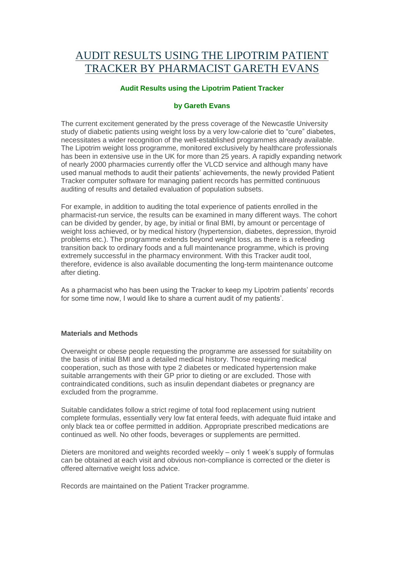# AUDIT RESULTS USING THE [LIPOTRIM](http://resources2.lipotrim.co.uk/?p=59) PATIENT TRACKER BY [PHARMACIST](http://resources2.lipotrim.co.uk/?p=59) GARETH EVANS

### **Audit Results using the Lipotrim Patient Tracker**

#### **by Gareth Evans**

The current excitement generated by the press coverage of the Newcastle University study of diabetic patients using weight loss by a very low-calorie diet to "cure" diabetes, necessitates a wider recognition of the well-established programmes already available. The Lipotrim weight loss programme, monitored exclusively by healthcare professionals has been in extensive use in the UK for more than 25 years. A rapidly expanding network of nearly 2000 pharmacies currently offer the VLCD service and although many have used manual methods to audit their patients' achievements, the newly provided Patient Tracker computer software for managing patient records has permitted continuous auditing of results and detailed evaluation of population subsets.

For example, in addition to auditing the total experience of patients enrolled in the pharmacist-run service, the results can be examined in many different ways. The cohort can be divided by gender, by age, by initial or final BMI, by amount or percentage of weight loss achieved, or by medical history (hypertension, diabetes, depression, thyroid problems etc.). The programme extends beyond weight loss, as there is a refeeding transition back to ordinary foods and a full maintenance programme, which is proving extremely successful in the pharmacy environment. With this Tracker audit tool, therefore, evidence is also available documenting the long-term maintenance outcome after dieting.

As a pharmacist who has been using the Tracker to keep my Lipotrim patients' records for some time now, I would like to share a current audit of my patients'.

#### **Materials and Methods**

Overweight or obese people requesting the programme are assessed for suitability on the basis of initial BMI and a detailed medical history. Those requiring medical cooperation, such as those with type 2 diabetes or medicated hypertension make suitable arrangements with their GP prior to dieting or are excluded. Those with contraindicated conditions, such as insulin dependant diabetes or pregnancy are excluded from the programme.

Suitable candidates follow a strict regime of total food replacement using nutrient complete formulas, essentially very low fat enteral feeds, with adequate fluid intake and only black tea or coffee permitted in addition. Appropriate prescribed medications are continued as well. No other foods, beverages or supplements are permitted.

Dieters are monitored and weights recorded weekly – only 1 week's supply of formulas can be obtained at each visit and obvious non-compliance is corrected or the dieter is offered alternative weight loss advice.

Records are maintained on the Patient Tracker programme.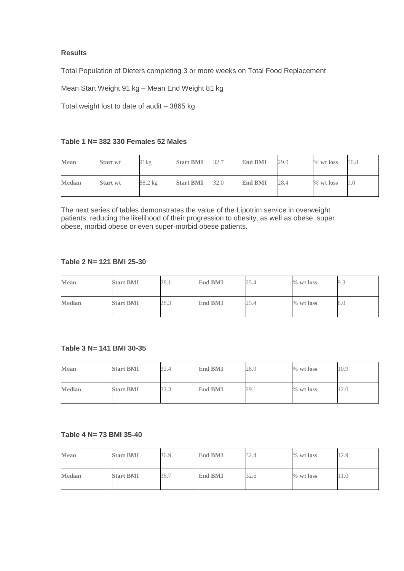## **Results**

Total Population of Dieters completing 3 or more weeks on Total Food Replacement

Mean Start Weight 91 kg – Mean End Weight 81 kg

Total weight lost to date of audit – 3865 kg

## **Table 1 N= 382 330 Females 52 Males**

| Mean          | <b>Start wt</b> | 91kg    | <b>Start BMI</b> | 32.7 | <b>End BMI</b> | 29.0 | $\%$ wt loss | 10.8 |
|---------------|-----------------|---------|------------------|------|----------------|------|--------------|------|
| <b>Median</b> | Start wt        | 88.2 kg | <b>Start BMI</b> | 32.0 | <b>End BMI</b> | 28.4 | $\%$ wt loss | 9.0  |

The next series of tables demonstrates the value of the Lipotrim service in overweight patients, reducing the likelihood of their progression to obesity, as well as obese, super obese, morbid obese or even super-morbid obese patients.

#### **Table 2 N= 121 BMI 25-30**

| Mean          | <b>Start BMI</b> | 28.1 | <b>End BMI</b> | 25.4 | $\%$ wt loss | 9.3 |
|---------------|------------------|------|----------------|------|--------------|-----|
| <b>Median</b> | <b>Start BMI</b> | 28.3 | <b>End BMI</b> | 25.4 | $\%$ wt loss | 8.0 |

#### **Table 3 N= 141 BMI 30-35**

| <b>Mean</b>   | <b>Start BMI</b> | 32.4           | <b>End BMI</b> | 28.9 | $\%$ wt loss | 10.9 |
|---------------|------------------|----------------|----------------|------|--------------|------|
| <b>Median</b> | <b>Start BMI</b> | 27.2<br>ل ہے و | <b>End BMI</b> | 29.1 | $\%$ wt loss | 12.0 |

#### **Table 4 N= 73 BMI 35-40**

| <b>Mean</b>   | <b>Start BMI</b> | 36.9 | <b>End BMI</b> | 32.4 | $\%$ wt loss | 12.9 |
|---------------|------------------|------|----------------|------|--------------|------|
| <b>Median</b> | <b>Start BMI</b> | 36.7 | <b>End BMI</b> | 32.6 | $\%$ wt loss | 11.0 |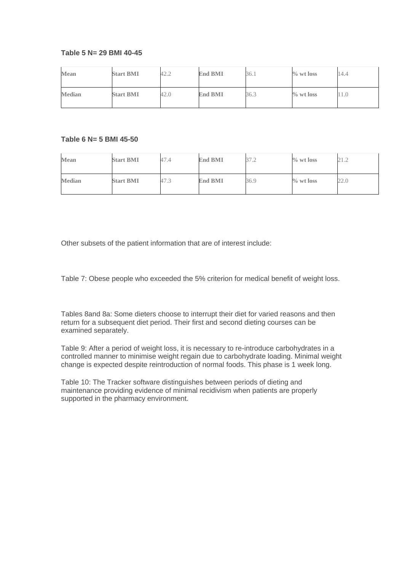#### **Table 5 N= 29 BMI 40-45**

| Mean          | <b>Start BMI</b> | 42.2 | <b>End BMI</b> | 36.1 | $\%$ wt loss | 14.4 |
|---------------|------------------|------|----------------|------|--------------|------|
| <b>Median</b> | <b>Start BMI</b> | 42.0 | <b>End BMI</b> | 36.3 | $\%$ wt loss | 11.0 |

#### **Table 6 N= 5 BMI 45-50**

| <b>Mean</b>   | <b>Start BMI</b> | 47.4 | <b>End BMI</b> | 37<br>ے ، | $\%$ wt loss | 21.2 |
|---------------|------------------|------|----------------|-----------|--------------|------|
| <b>Median</b> | <b>Start BMI</b> | 47.3 | <b>End BMI</b> | 36.9      | $\%$ wt loss | 22.0 |

Other subsets of the patient information that are of interest include:

Table 7: Obese people who exceeded the 5% criterion for medical benefit of weight loss.

Tables 8and 8a: Some dieters choose to interrupt their diet for varied reasons and then return for a subsequent diet period. Their first and second dieting courses can be examined separately.

Table 9: After a period of weight loss, it is necessary to re-introduce carbohydrates in a controlled manner to minimise weight regain due to carbohydrate loading. Minimal weight change is expected despite reintroduction of normal foods. This phase is 1 week long.

Table 10: The Tracker software distinguishes between periods of dieting and maintenance providing evidence of minimal recidivism when patients are properly supported in the pharmacy environment.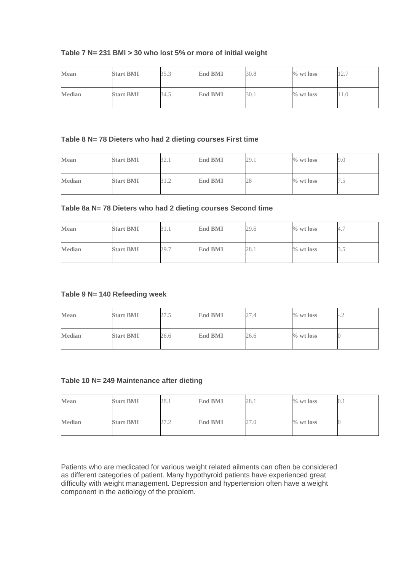## **Table 7 N= 231 BMI > 30 who lost 5% or more of initial weight**

| Mean          | <b>Start BMI</b> | 35.3 | <b>End BMI</b> | 30.8 | $\%$ wt loss | 127<br>$\perp$ $\perp$ . |
|---------------|------------------|------|----------------|------|--------------|--------------------------|
| <b>Median</b> | <b>Start BMI</b> | 34.5 | <b>End BMI</b> | 30.1 | $\%$ wt loss |                          |

## **Table 8 N= 78 Dieters who had 2 dieting courses First time**

| Mean          | <b>Start BMI</b> | 22<br>34.I | <b>End BMI</b> | 29.1 | $\%$ wt loss | 9.0        |
|---------------|------------------|------------|----------------|------|--------------|------------|
| <b>Median</b> | <b>Start BMI</b> |            | <b>End BMI</b> | 28   | $\%$ wt loss | $\sqrt{2}$ |

## **Table 8a N= 78 Dieters who had 2 dieting courses Second time**

| Mean          | <b>Start BMI</b> | 51.1 | <b>End BMI</b> | 29.6 | $\%$ wt loss | 4.7 |
|---------------|------------------|------|----------------|------|--------------|-----|
| <b>Median</b> | <b>Start BMI</b> | 29.7 | <b>End BMI</b> | 28.1 | $\%$ wt loss | J   |

## **Table 9 N= 140 Refeeding week**

| Mean          | <b>Start BMI</b> | 27.5 | <b>End BMI</b> | 27<br>.4 | $\%$ wt loss | $\overline{\phantom{a}}$<br>$-$ |
|---------------|------------------|------|----------------|----------|--------------|---------------------------------|
| <b>Median</b> | <b>Start BMI</b> | 26.6 | <b>End BMI</b> | 26.6     | $\%$ wt loss |                                 |

#### **Table 10 N= 249 Maintenance after dieting**

| Mean          | <b>Start BMI</b> | 28.1 | <b>End BMI</b> | 28.1 | $\%$ wt loss | $\cup$ |
|---------------|------------------|------|----------------|------|--------------|--------|
| <b>Median</b> | <b>Start BMI</b> | 27.2 | <b>End BMI</b> | 27.0 | $\%$ wt loss |        |

Patients who are medicated for various weight related ailments can often be considered as different categories of patient. Many hypothyroid patients have experienced great difficulty with weight management. Depression and hypertension often have a weight component in the aetiology of the problem.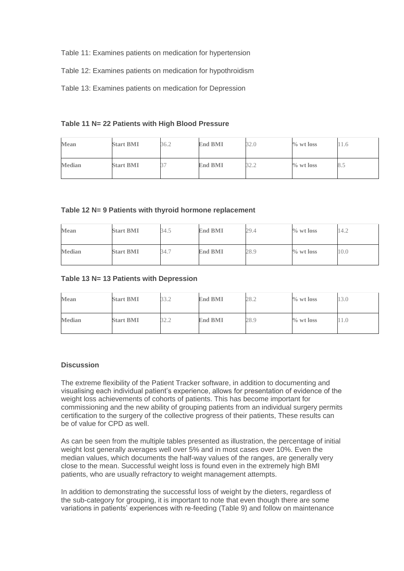- Table 11: Examines patients on medication for hypertension
- Table 12: Examines patients on medication for hypothroidism
- Table 13: Examines patients on medication for Depression

**Table 11 N= 22 Patients with High Blood Pressure**

| <b>Mean</b>   | <b>Start BMI</b> | 36.2 | <b>End BMI</b> | 32.0      | $\%$ wt loss | 11.6 |
|---------------|------------------|------|----------------|-----------|--------------|------|
| <b>Median</b> | <b>Start BMI</b> |      | <b>End BMI</b> | 20 C<br>1 | $\%$ wt loss | 8.5  |

#### **Table 12 N= 9 Patients with thyroid hormone replacement**

| <b>Mean</b>   | <b>Start BMI</b> | 34.5 | <b>End BMI</b> | 29.4 | $\%$ wt loss | 14.2 |
|---------------|------------------|------|----------------|------|--------------|------|
| <b>Median</b> | <b>Start BMI</b> | 34.7 | <b>End BMI</b> | 28.9 | $\%$ wt loss | 10.0 |

#### **Table 13 N= 13 Patients with Depression**

| Mean          | <b>Start BMI</b> | 22 J<br>ے کی اب | <b>End BMI</b> | 28.2 | $\%$ wt loss | 13.0 |
|---------------|------------------|-----------------|----------------|------|--------------|------|
| <b>Median</b> | <b>Start BMI</b> | ) 4. A          | <b>End BMI</b> | 28.9 | $\%$ wt loss | 11.0 |

#### **Discussion**

The extreme flexibility of the Patient Tracker software, in addition to documenting and visualising each individual patient's experience, allows for presentation of evidence of the weight loss achievements of cohorts of patients. This has become important for commissioning and the new ability of grouping patients from an individual surgery permits certification to the surgery of the collective progress of their patients, These results can be of value for CPD as well.

As can be seen from the multiple tables presented as illustration, the percentage of initial weight lost generally averages well over 5% and in most cases over 10%. Even the median values, which documents the half-way values of the ranges, are generally very close to the mean. Successful weight loss is found even in the extremely high BMI patients, who are usually refractory to weight management attempts.

In addition to demonstrating the successful loss of weight by the dieters, regardless of the sub-category for grouping, it is important to note that even though there are some variations in patients' experiences with re-feeding (Table 9) and follow on maintenance